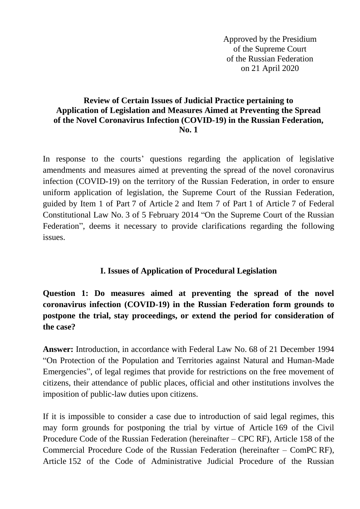Approved by the Presidium of the Supreme Court of the Russian Federation on 21 April 2020

#### **Review of Certain Issues of Judicial Practice pertaining to Application of Legislation and Measures Aimed at Preventing the Spread of the Novel Coronavirus Infection (COVID-19) in the Russian Federation, No. 1**

In response to the courts' questions regarding the application of legislative amendments and measures aimed at preventing the spread of the novel coronavirus infection (COVID-19) on the territory of the Russian Federation, in order to ensure uniform application of legislation, the Supreme Court of the Russian Federation, guided by Item 1 of Part 7 of Article 2 and Item 7 of Part 1 of Article 7 of Federal Constitutional Law No. 3 of 5 February 2014 "On the Supreme Court of the Russian Federation", deems it necessary to provide clarifications regarding the following issues.

#### **I. Issues of Application of Procedural Legislation**

**Question 1: Do measures aimed at preventing the spread of the novel coronavirus infection (COVID-19) in the Russian Federation form grounds to postpone the trial, stay proceedings, or extend the period for consideration of the case?** 

**Answer:** Introduction, in accordance with Federal Law No. 68 of 21 December 1994 "On Protection of the Population and Territories against Natural and Human-Made Emergencies", of legal regimes that provide for restrictions on the free movement of citizens, their attendance of public places, official and other institutions involves the imposition of public-law duties upon citizens.

If it is impossible to consider a case due to introduction of said legal regimes, this may form grounds for postponing the trial by virtue of Article 169 of the Civil Procedure Code of the Russian Federation (hereinafter – CPC RF), Article 158 of the Commercial Procedure Code of the Russian Federation (hereinafter – ComPC RF), Article 152 of the Code of Administrative Judicial Procedure of the Russian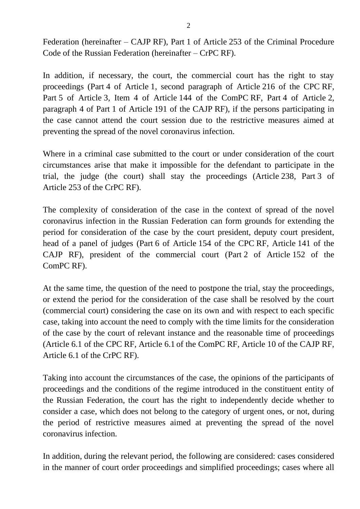Federation (hereinafter – CAJP RF), Part 1 of Article 253 of the Criminal Procedure Code of the Russian Federation (hereinafter – CrPC RF).

In addition, if necessary, the court, the commercial court has the right to stay proceedings (Part 4 of Article 1, second paragraph of Article 216 of the CPC RF, Part 5 of Article 3, Item 4 of Article 144 of the ComPC RF, Part 4 of Article 2, paragraph 4 of Part 1 of Article 191 of the CAJP RF), if the persons participating in the case cannot attend the court session due to the restrictive measures aimed at preventing the spread of the novel coronavirus infection.

Where in a criminal case submitted to the court or under consideration of the court circumstances arise that make it impossible for the defendant to participate in the trial, the judge (the court) shall stay the proceedings (Article 238, Part 3 of Article 253 of the CrPC RF).

The complexity of consideration of the case in the context of spread of the novel coronavirus infection in the Russian Federation can form grounds for extending the period for consideration of the case by the court president, deputy court president, head of a panel of judges (Part 6 of Article 154 of the CPC RF, Article 141 of the CAJP RF), president of the commercial court (Part 2 of Article 152 of the ComPC RF).

At the same time, the question of the need to postpone the trial, stay the proceedings, or extend the period for the consideration of the case shall be resolved by the court (commercial court) considering the case on its own and with respect to each specific case, taking into account the need to comply with the time limits for the consideration of the case by the court of relevant instance and the reasonable time of proceedings (Article 6.1 of the CPC RF, Article 6.1 of the ComPC RF, Article 10 of the CAJP RF, Article 6.1 of the CrPC RF).

Taking into account the circumstances of the case, the opinions of the participants of proceedings and the conditions of the regime introduced in the constituent entity of the Russian Federation, the court has the right to independently decide whether to consider a case, which does not belong to the category of urgent ones, or not, during the period of restrictive measures aimed at preventing the spread of the novel coronavirus infection.

In addition, during the relevant period, the following are considered: cases considered in the manner of court order proceedings and simplified proceedings; cases where all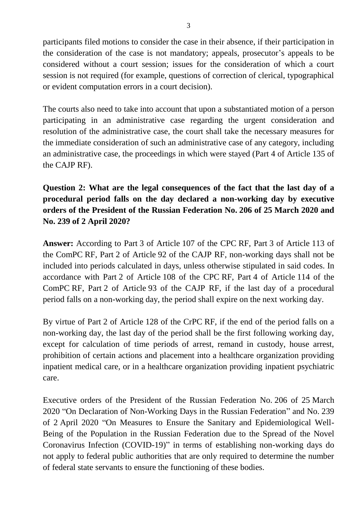participants filed motions to consider the case in their absence, if their participation in the consideration of the case is not mandatory; appeals, prosecutor's appeals to be considered without a court session; issues for the consideration of which a court session is not required (for example, questions of correction of clerical, typographical or evident computation errors in a court decision).

The courts also need to take into account that upon a substantiated motion of a person participating in an administrative case regarding the urgent consideration and resolution of the administrative case, the court shall take the necessary measures for the immediate consideration of such an administrative case of any category, including an administrative case, the proceedings in which were stayed (Part 4 of Article 135 of the CAJP RF).

## **Question 2: What are the legal consequences of the fact that the last day of a procedural period falls on the day declared a non-working day by executive orders of the President of the Russian Federation No. 206 of 25 March 2020 and No. 239 of 2 April 2020?**

**Answer:** According to Part 3 of Article 107 of the CPC RF, Part 3 of Article 113 of the ComPC RF, Part 2 of Article 92 of the CAJP RF, non-working days shall not be included into periods calculated in days, unless otherwise stipulated in said codes. In accordance with Part 2 of Article 108 of the CPC RF, Part 4 of Article 114 of the ComPC RF, Part 2 of Article 93 of the CAJP RF, if the last day of a procedural period falls on a non-working day, the period shall expire on the next working day.

By virtue of Part 2 of Article 128 of the CrPC RF, if the end of the period falls on a non-working day, the last day of the period shall be the first following working day, except for calculation of time periods of arrest, remand in custody, house arrest, prohibition of certain actions and placement into a healthcare organization providing inpatient medical care, or in a healthcare organization providing inpatient psychiatric care.

Executive orders of the President of the Russian Federation No. 206 of 25 March 2020 "On Declaration of Non-Working Days in the Russian Federation" and No. 239 of 2 April 2020 "On Measures to Ensure the Sanitary and Epidemiological Well-Being of the Population in the Russian Federation due to the Spread of the Novel Coronavirus Infection (COVID-19)" in terms of establishing non-working days do not apply to federal public authorities that are only required to determine the number of federal state servants to ensure the functioning of these bodies.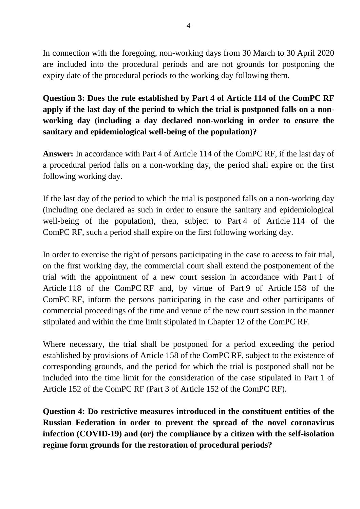In connection with the foregoing, non-working days from 30 March to 30 April 2020 are included into the procedural periods and are not grounds for postponing the expiry date of the procedural periods to the working day following them.

**Question 3: Does the rule established by Part 4 of Article 114 of the ComPC RF apply if the last day of the period to which the trial is postponed falls on a nonworking day (including a day declared non-working in order to ensure the sanitary and epidemiological well-being of the population)?**

**Answer:** In accordance with Part 4 of Article 114 of the ComPC RF, if the last day of a procedural period falls on a non-working day, the period shall expire on the first following working day.

If the last day of the period to which the trial is postponed falls on a non-working day (including one declared as such in order to ensure the sanitary and epidemiological well-being of the population), then, subject to Part 4 of Article 114 of the ComPC RF, such a period shall expire on the first following working day.

In order to exercise the right of persons participating in the case to access to fair trial, on the first working day, the commercial court shall extend the postponement of the trial with the appointment of a new court session in accordance with Part 1 of Article 118 of the ComPC RF and, by virtue of Part 9 of Article 158 of the ComPC RF, inform the persons participating in the case and other participants of commercial proceedings of the time and venue of the new court session in the manner stipulated and within the time limit stipulated in Chapter 12 of the ComPC RF.

Where necessary, the trial shall be postponed for a period exceeding the period established by provisions of Article 158 of the ComPC RF, subject to the existence of corresponding grounds, and the period for which the trial is postponed shall not be included into the time limit for the consideration of the case stipulated in Part 1 of Article 152 of the ComPC RF (Part 3 of Article 152 of the ComPC RF).

**Question 4: Do restrictive measures introduced in the constituent entities of the Russian Federation in order to prevent the spread of the novel coronavirus infection (COVID-19) and (or) the compliance by a citizen with the self-isolation regime form grounds for the restoration of procedural periods?**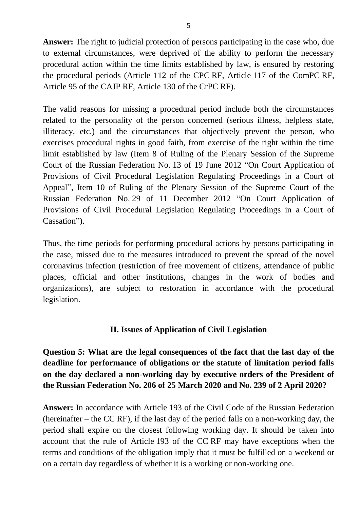**Answer:** The right to judicial protection of persons participating in the case who, due to external circumstances, were deprived of the ability to perform the necessary procedural action within the time limits established by law, is ensured by restoring the procedural periods (Article 112 of the CPC RF, Article 117 of the ComPC RF, Article 95 of the CAJP RF, Article 130 of the CrPC RF).

The valid reasons for missing a procedural period include both the circumstances related to the personality of the person concerned (serious illness, helpless state, illiteracy, etc.) and the circumstances that objectively prevent the person, who exercises procedural rights in good faith, from exercise of the right within the time limit established by law (Item 8 of Ruling of the Plenary Session of the Supreme Court of the Russian Federation No. 13 of 19 June 2012 "On Court Application of Provisions of Civil Procedural Legislation Regulating Proceedings in a Court of Appeal", Item 10 of Ruling of the Plenary Session of the Supreme Court of the Russian Federation No. 29 of 11 December 2012 "On Court Application of Provisions of Civil Procedural Legislation Regulating Proceedings in a Court of Cassation").

Thus, the time periods for performing procedural actions by persons participating in the case, missed due to the measures introduced to prevent the spread of the novel coronavirus infection (restriction of free movement of citizens, attendance of public places, official and other institutions, changes in the work of bodies and organizations), are subject to restoration in accordance with the procedural legislation.

#### **II. Issues of Application of Civil Legislation**

**Question 5: What are the legal consequences of the fact that the last day of the deadline for performance of obligations or the statute of limitation period falls on the day declared a non-working day by executive orders of the President of the Russian Federation No. 206 of 25 March 2020 and No. 239 of 2 April 2020?**

**Answer:** In accordance with Article 193 of the Civil Code of the Russian Federation (hereinafter – the CC RF), if the last day of the period falls on a non-working day, the period shall expire on the closest following working day. It should be taken into account that the rule of Article 193 of the CC RF may have exceptions when the terms and conditions of the obligation imply that it must be fulfilled on a weekend or on a certain day regardless of whether it is a working or non-working one.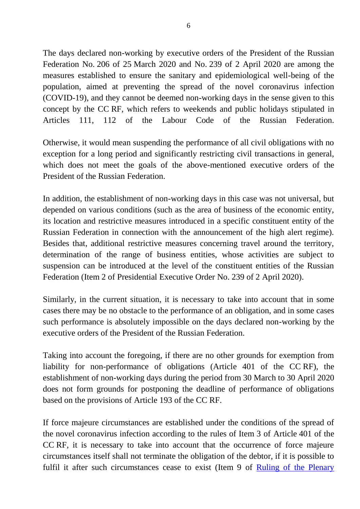The days declared non-working by executive orders of the President of the Russian Federation No. 206 of 25 March 2020 and No. 239 of 2 April 2020 are among the measures established to ensure the sanitary and epidemiological well-being of the population, aimed at preventing the spread of the novel coronavirus infection (COVID-19), and they cannot be deemed non-working days in the sense given to this concept by the CC RF, which refers to weekends and public holidays stipulated in Articles 111, 112 of the Labour Code of the Russian Federation.

Otherwise, it would mean suspending the performance of all civil obligations with no exception for a long period and significantly restricting civil transactions in general, which does not meet the goals of the above-mentioned executive orders of the President of the Russian Federation.

In addition, the establishment of non-working days in this case was not universal, but depended on various conditions (such as the area of business of the economic entity, its location and restrictive measures introduced in a specific constituent entity of the Russian Federation in connection with the announcement of the high alert regime). Besides that, additional restrictive measures concerning travel around the territory, determination of the range of business entities, whose activities are subject to suspension can be introduced at the level of the constituent entities of the Russian Federation (Item 2 of Presidential Executive Order No. 239 of 2 April 2020).

Similarly, in the current situation, it is necessary to take into account that in some cases there may be no obstacle to the performance of an obligation, and in some cases such performance is absolutely impossible on the days declared non-working by the executive orders of the President of the Russian Federation.

Taking into account the foregoing, if there are no other grounds for exemption from liability for non-performance of obligations (Article 401 of the CC RF), the establishment of non-working days during the period from 30 March to 30 April 2020 does not form grounds for postponing the deadline of performance of obligations based on the provisions of Article 193 of the CC RF.

If force majeure circumstances are established under the conditions of the spread of the novel coronavirus infection according to the rules of Item 3 of Article 401 of the CC RF, it is necessary to take into account that the occurrence of force majeure circumstances itself shall not terminate the obligation of the debtor, if it is possible to fulfil it after such circumstances cease to exist (Item 9 of Ruling of the Plenary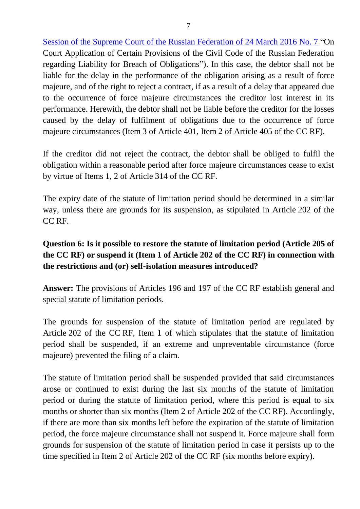Session of the Supreme Court of the Russian Federation of 24 March 2016 No. 7 "On Court Application of Certain Provisions of the Civil Code of the Russian Federation regarding Liability for Breach of Obligations"). In this case, the debtor shall not be liable for the delay in the performance of the obligation arising as a result of force majeure, and of the right to reject a contract, if as a result of a delay that appeared due to the occurrence of force majeure circumstances the creditor lost interest in its performance. Herewith, the debtor shall not be liable before the creditor for the losses caused by the delay of fulfilment of obligations due to the occurrence of force majeure circumstances (Item 3 of Article 401, Item 2 of Article 405 of the CC RF).

If the creditor did not reject the contract, the debtor shall be obliged to fulfil the obligation within a reasonable period after force majeure circumstances cease to exist by virtue of Items 1, 2 of Article 314 of the CC RF.

The expiry date of the statute of limitation period should be determined in a similar way, unless there are grounds for its suspension, as stipulated in Article 202 of the CC RF.

## **Question 6: Is it possible to restore the statute of limitation period (Article 205 of the CC RF) or suspend it (Item 1 of Article 202 of the CC RF) in connection with the restrictions and (or) self-isolation measures introduced?**

**Answer:** The provisions of Articles 196 and 197 of the CC RF establish general and special statute of limitation periods.

The grounds for suspension of the statute of limitation period are regulated by Article 202 of the CC RF, Item 1 of which stipulates that the statute of limitation period shall be suspended, if an extreme and unpreventable circumstance (force majeure) prevented the filing of a claim.

The statute of limitation period shall be suspended provided that said circumstances arose or continued to exist during the last six months of the statute of limitation period or during the statute of limitation period, where this period is equal to six months or shorter than six months (Item 2 of Article 202 of the CC RF). Accordingly, if there are more than six months left before the expiration of the statute of limitation period, the force majeure circumstance shall not suspend it. Force majeure shall form grounds for suspension of the statute of limitation period in case it persists up to the time specified in Item 2 of Article 202 of the CC RF (six months before expiry).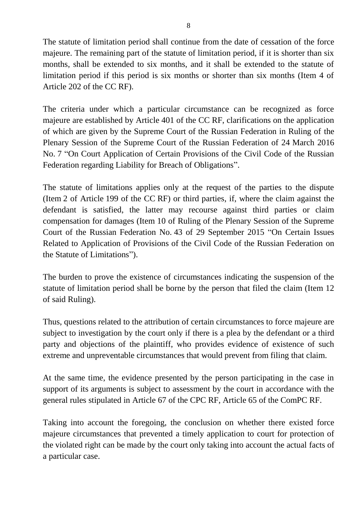The statute of limitation period shall continue from the date of cessation of the force majeure. The remaining part of the statute of limitation period, if it is shorter than six months, shall be extended to six months, and it shall be extended to the statute of limitation period if this period is six months or shorter than six months (Item 4 of Article 202 of the CC RF).

The criteria under which a particular circumstance can be recognized as force majeure are established by Article 401 of the CC RF, clarifications on the application of which are given by the Supreme Court of the Russian Federation in Ruling of the Plenary Session of the Supreme Court of the Russian Federation of 24 March 2016 No. 7 "On Court Application of Certain Provisions of the Civil Code of the Russian Federation regarding Liability for Breach of Obligations".

The statute of limitations applies only at the request of the parties to the dispute (Item 2 of Article 199 of the CC RF) or third parties, if, where the claim against the defendant is satisfied, the latter may recourse against third parties or claim compensation for damages (Item 10 of Ruling of the Plenary Session of the Supreme Court of the Russian Federation No. 43 of 29 September 2015 "On Certain Issues Related to Application of Provisions of the Civil Code of the Russian Federation on the Statute of Limitations").

The burden to prove the existence of circumstances indicating the suspension of the statute of limitation period shall be borne by the person that filed the claim (Item 12 of said Ruling).

Thus, questions related to the attribution of certain circumstances to force majeure are subject to investigation by the court only if there is a plea by the defendant or a third party and objections of the plaintiff, who provides evidence of existence of such extreme and unpreventable circumstances that would prevent from filing that claim.

At the same time, the evidence presented by the person participating in the case in support of its arguments is subject to assessment by the court in accordance with the general rules stipulated in Article 67 of the CPC RF, Article 65 of the ComPC RF.

Taking into account the foregoing, the conclusion on whether there existed force majeure circumstances that prevented a timely application to court for protection of the violated right can be made by the court only taking into account the actual facts of a particular case.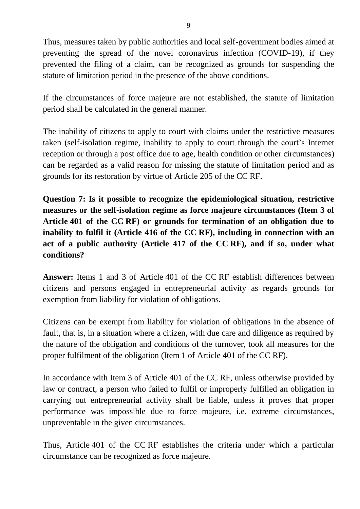Thus, measures taken by public authorities and local self-government bodies aimed at preventing the spread of the novel coronavirus infection (COVID-19), if they prevented the filing of a claim, can be recognized as grounds for suspending the statute of limitation period in the presence of the above conditions.

If the circumstances of force majeure are not established, the statute of limitation period shall be calculated in the general manner.

The inability of citizens to apply to court with claims under the restrictive measures taken (self-isolation regime, inability to apply to court through the court's Internet reception or through a post office due to age, health condition or other circumstances) can be regarded as a valid reason for missing the statute of limitation period and as grounds for its restoration by virtue of Article 205 of the CC RF.

**Question 7: Is it possible to recognize the epidemiological situation, restrictive measures or the self-isolation regime as force majeure circumstances (Item 3 of Article 401 of the CC RF) or grounds for termination of an obligation due to inability to fulfil it (Article 416 of the CC RF), including in connection with an act of a public authority (Article 417 of the CC RF), and if so, under what conditions?**

**Answer:** Items 1 and 3 of Article 401 of the CC RF establish differences between citizens and persons engaged in entrepreneurial activity as regards grounds for exemption from liability for violation of obligations.

Citizens can be exempt from liability for violation of obligations in the absence of fault, that is, in a situation where a citizen, with due care and diligence as required by the nature of the obligation and conditions of the turnover, took all measures for the proper fulfilment of the obligation (Item 1 of Article 401 of the CC RF).

In accordance with Item 3 of Article 401 of the CC RF, unless otherwise provided by law or contract, a person who failed to fulfil or improperly fulfilled an obligation in carrying out entrepreneurial activity shall be liable, unless it proves that proper performance was impossible due to force majeure, i.e. extreme circumstances, unpreventable in the given circumstances.

Thus, Article 401 of the CC RF establishes the criteria under which a particular circumstance can be recognized as force majeure.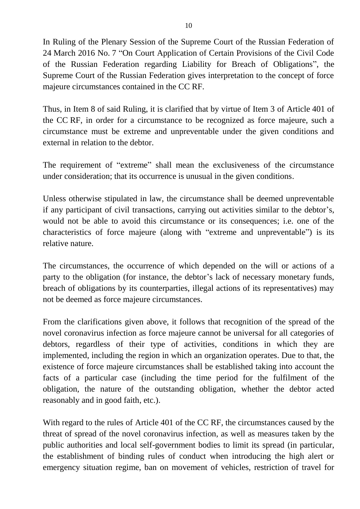In Ruling of the Plenary Session of the Supreme Court of the Russian Federation of 24 March 2016 No. 7 "On Court Application of Certain Provisions of the Civil Code of the Russian Federation regarding Liability for Breach of Obligations", the Supreme Court of the Russian Federation gives interpretation to the concept of force majeure circumstances contained in the CC RF.

Thus, in Item 8 of said Ruling, it is clarified that by virtue of Item 3 of Article 401 of the CC RF, in order for a circumstance to be recognized as force majeure, such a circumstance must be extreme and unpreventable under the given conditions and external in relation to the debtor.

The requirement of "extreme" shall mean the exclusiveness of the circumstance under consideration; that its occurrence is unusual in the given conditions.

Unless otherwise stipulated in law, the circumstance shall be deemed unpreventable if any participant of civil transactions, carrying out activities similar to the debtor's, would not be able to avoid this circumstance or its consequences; i.e. one of the characteristics of force majeure (along with "extreme and unpreventable") is its relative nature.

The circumstances, the occurrence of which depended on the will or actions of a party to the obligation (for instance, the debtor's lack of necessary monetary funds, breach of obligations by its counterparties, illegal actions of its representatives) may not be deemed as force majeure circumstances.

From the clarifications given above, it follows that recognition of the spread of the novel coronavirus infection as force majeure cannot be universal for all categories of debtors, regardless of their type of activities, conditions in which they are implemented, including the region in which an organization operates. Due to that, the existence of force majeure circumstances shall be established taking into account the facts of a particular case (including the time period for the fulfilment of the obligation, the nature of the outstanding obligation, whether the debtor acted reasonably and in good faith, etc.).

With regard to the rules of Article 401 of the CC RF, the circumstances caused by the threat of spread of the novel coronavirus infection, as well as measures taken by the public authorities and local self-government bodies to limit its spread (in particular, the establishment of binding rules of conduct when introducing the high alert or emergency situation regime, ban on movement of vehicles, restriction of travel for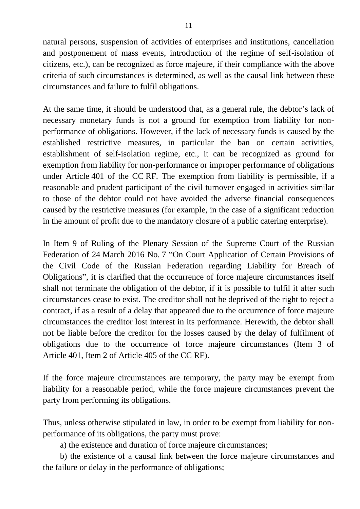natural persons, suspension of activities of enterprises and institutions, cancellation and postponement of mass events, introduction of the regime of self-isolation of citizens, etc.), can be recognized as force majeure, if their compliance with the above criteria of such circumstances is determined, as well as the causal link between these circumstances and failure to fulfil obligations.

At the same time, it should be understood that, as a general rule, the debtor's lack of necessary monetary funds is not a ground for exemption from liability for nonperformance of obligations. However, if the lack of necessary funds is caused by the established restrictive measures, in particular the ban on certain activities, establishment of self-isolation regime, etc., it can be recognized as ground for exemption from liability for non-performance or improper performance of obligations under Article 401 of the CC RF. The exemption from liability is permissible, if a reasonable and prudent participant of the civil turnover engaged in activities similar to those of the debtor could not have avoided the adverse financial consequences caused by the restrictive measures (for example, in the case of a significant reduction in the amount of profit due to the mandatory closure of a public catering enterprise).

In Item 9 of Ruling of the Plenary Session of the Supreme Court of the Russian Federation of 24 March 2016 No. 7 "On Court Application of Certain Provisions of the Civil Code of the Russian Federation regarding Liability for Breach of Obligations", it is clarified that the occurrence of force majeure circumstances itself shall not terminate the obligation of the debtor, if it is possible to fulfil it after such circumstances cease to exist. The creditor shall not be deprived of the right to reject a contract, if as a result of a delay that appeared due to the occurrence of force majeure circumstances the creditor lost interest in its performance. Herewith, the debtor shall not be liable before the creditor for the losses caused by the delay of fulfilment of obligations due to the occurrence of force majeure circumstances (Item 3 of Article 401, Item 2 of Article 405 of the CC RF).

If the force majeure circumstances are temporary, the party may be exempt from liability for a reasonable period, while the force majeure circumstances prevent the party from performing its obligations.

Thus, unless otherwise stipulated in law, in order to be exempt from liability for nonperformance of its obligations, the party must prove:

a) the existence and duration of force majeure circumstances;

b) the existence of a causal link between the force majeure circumstances and the failure or delay in the performance of obligations;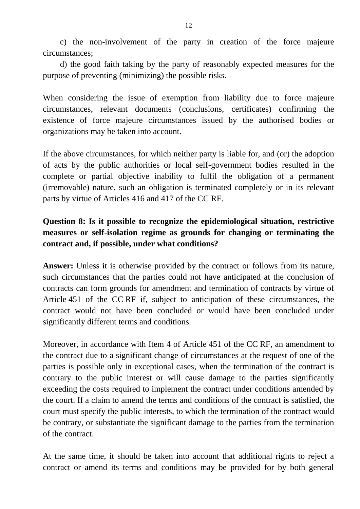c) the non-involvement of the party in creation of the force majeure circumstances;

d) the good faith taking by the party of reasonably expected measures for the purpose of preventing (minimizing) the possible risks.

When considering the issue of exemption from liability due to force majeure circumstances, relevant documents (conclusions, certificates) confirming the existence of force majeure circumstances issued by the authorised bodies or organizations may be taken into account.

If the above circumstances, for which neither party is liable for, and (or) the adoption of acts by the public authorities or local self-government bodies resulted in the complete or partial objective inability to fulfil the obligation of a permanent (irremovable) nature, such an obligation is terminated completely or in its relevant parts by virtue of Articles 416 and 417 of the CC RF.

### **Question 8: Is it possible to recognize the epidemiological situation, restrictive measures or self-isolation regime as grounds for changing or terminating the contract and, if possible, under what conditions?**

Answer: Unless it is otherwise provided by the contract or follows from its nature, such circumstances that the parties could not have anticipated at the conclusion of contracts can form grounds for amendment and termination of contracts by virtue of Article 451 of the CC RF if, subject to anticipation of these circumstances, the contract would not have been concluded or would have been concluded under significantly different terms and conditions.

Moreover, in accordance with Item 4 of Article 451 of the CC RF, an amendment to the contract due to a significant change of circumstances at the request of one of the parties is possible only in exceptional cases, when the termination of the contract is contrary to the public interest or will cause damage to the parties significantly exceeding the costs required to implement the contract under conditions amended by the court. If a claim to amend the terms and conditions of the contract is satisfied, the court must specify the public interests, to which the termination of the contract would be contrary, or substantiate the significant damage to the parties from the termination of the contract.

At the same time, it should be taken into account that additional rights to reject a contract or amend its terms and conditions may be provided for by both general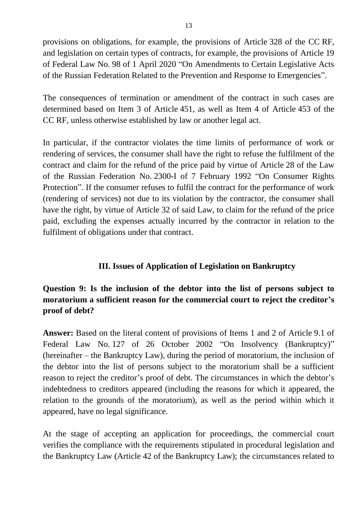provisions on obligations, for example, the provisions of Article 328 of the CC RF, and legislation on certain types of contracts, for example, the provisions of Article 19 of Federal Law No. 98 of 1 April 2020 "On Amendments to Certain Legislative Acts of the Russian Federation Related to the Prevention and Response to Emergencies".

The consequences of termination or amendment of the contract in such cases are determined based on Item 3 of Article 451, as well as Item 4 of Article 453 of the CC RF, unless otherwise established by law or another legal act.

In particular, if the contractor violates the time limits of performance of work or rendering of services, the consumer shall have the right to refuse the fulfilment of the contract and claim for the refund of the price paid by virtue of Article 28 of the Law of the Russian Federation No. 2300-I of 7 February 1992 "On Consumer Rights Protection". If the consumer refuses to fulfil the contract for the performance of work (rendering of services) not due to its violation by the contractor, the consumer shall have the right, by virtue of Article 32 of said Law, to claim for the refund of the price paid, excluding the expenses actually incurred by the contractor in relation to the fulfilment of obligations under that contract.

#### **III. Issues of Application of Legislation on Bankruptcy**

## **Question 9: Is the inclusion of the debtor into the list of persons subject to moratorium a sufficient reason for the commercial court to reject the creditor's proof of debt?**

**Answer:** Based on the literal content of provisions of Items 1 and 2 of Article 9.1 of Federal Law No. 127 of 26 October 2002 "On Insolvency (Bankruptcy)" (hereinafter – the Bankruptcy Law), during the period of moratorium, the inclusion of the debtor into the list of persons subject to the moratorium shall be a sufficient reason to reject the creditor's proof of debt. The circumstances in which the debtor's indebtedness to creditors appeared (including the reasons for which it appeared, the relation to the grounds of the moratorium), as well as the period within which it appeared, have no legal significance.

At the stage of accepting an application for proceedings, the commercial court verifies the compliance with the requirements stipulated in procedural legislation and the Bankruptcy Law (Article 42 of the Bankruptcy Law); the circumstances related to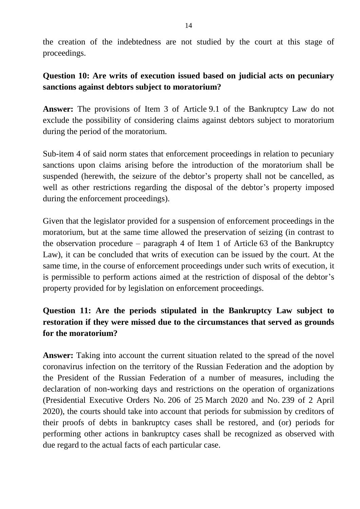the creation of the indebtedness are not studied by the court at this stage of proceedings.

### **Question 10: Are writs of execution issued based on judicial acts on pecuniary sanctions against debtors subject to moratorium?**

**Answer:** The provisions of Item 3 of Article 9.1 of the Bankruptcy Law do not exclude the possibility of considering claims against debtors subject to moratorium during the period of the moratorium.

Sub-item 4 of said norm states that enforcement proceedings in relation to pecuniary sanctions upon claims arising before the introduction of the moratorium shall be suspended (herewith, the seizure of the debtor's property shall not be cancelled, as well as other restrictions regarding the disposal of the debtor's property imposed during the enforcement proceedings).

Given that the legislator provided for a suspension of enforcement proceedings in the moratorium, but at the same time allowed the preservation of seizing (in contrast to the observation procedure – paragraph 4 of Item 1 of Article 63 of the Bankruptcy Law), it can be concluded that writs of execution can be issued by the court. At the same time, in the course of enforcement proceedings under such writs of execution, it is permissible to perform actions aimed at the restriction of disposal of the debtor's property provided for by legislation on enforcement proceedings.

## **Question 11: Are the periods stipulated in the Bankruptcy Law subject to restoration if they were missed due to the circumstances that served as grounds for the moratorium?**

Answer: Taking into account the current situation related to the spread of the novel coronavirus infection on the territory of the Russian Federation and the adoption by the President of the Russian Federation of a number of measures, including the declaration of non-working days and restrictions on the operation of organizations (Presidential Executive Orders No. 206 of 25 March 2020 and No. 239 of 2 April 2020), the courts should take into account that periods for submission by creditors of their proofs of debts in bankruptcy cases shall be restored, and (or) periods for performing other actions in bankruptcy cases shall be recognized as observed with due regard to the actual facts of each particular case.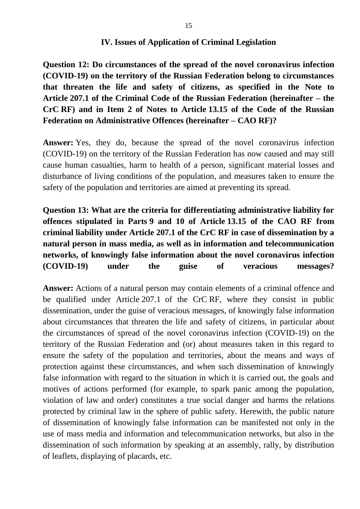#### **IV. Issues of Application of Criminal Legislation**

**Question 12: Do circumstances of the spread of the novel coronavirus infection (COVID-19) on the territory of the Russian Federation belong to circumstances that threaten the life and safety of citizens, as specified in the Note to Article 207.1 of the Criminal Code of the Russian Federation (hereinafter – the CrC RF) and in Item 2 of Notes to Article 13.15 of the Code of the Russian Federation on Administrative Offences (hereinafter – CAO RF)?**

**Answer:** Yes, they do, because the spread of the novel coronavirus infection (COVID-19) on the territory of the Russian Federation has now caused and may still cause human casualties, harm to health of a person, significant material losses and disturbance of living conditions of the population, and measures taken to ensure the safety of the population and territories are aimed at preventing its spread.

# **Question 13: What are the criteria for differentiating administrative liability for offences stipulated in Parts 9 and 10 of Article 13.15 of the CAO RF from criminal liability under Article 207.1 of the CrC RF in case of dissemination by a natural person in mass media, as well as in information and telecommunication networks, of knowingly false information about the novel coronavirus infection (COVID-19) under the guise of veracious messages?**

**Answer:** Actions of a natural person may contain elements of a criminal offence and be qualified under Article 207.1 of the CrC RF, where they consist in public dissemination, under the guise of veracious messages, of knowingly false information about circumstances that threaten the life and safety of citizens, in particular about the circumstances of spread of the novel coronavirus infection (COVID-19) on the territory of the Russian Federation and (or) about measures taken in this regard to ensure the safety of the population and territories, about the means and ways of protection against these circumstances, and when such dissemination of knowingly false information with regard to the situation in which it is carried out, the goals and motives of actions performed (for example, to spark panic among the population, violation of law and order) constitutes a true social danger and harms the relations protected by criminal law in the sphere of public safety. Herewith, the public nature of dissemination of knowingly false information can be manifested not only in the use of mass media and information and telecommunication networks, but also in the dissemination of such information by speaking at an assembly, rally, by distribution of leaflets, displaying of placards, etc.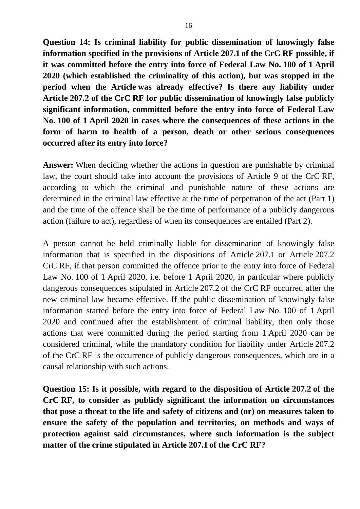**Question 14: Is criminal liability for public dissemination of knowingly false information specified in the provisions of Article 207.1 of the CrC RF possible, if it was committed before the entry into force of Federal Law No. 100 of 1 April 2020 (which established the criminality of this action), but was stopped in the period when the Article was already effective? Is there any liability under Article 207.2 of the CrC RF for public dissemination of knowingly false publicly significant information, committed before the entry into force of Federal Law No. 100 of 1 April 2020 in cases where the consequences of these actions in the form of harm to health of a person, death or other serious consequences occurred after its entry into force?**

**Answer:** When deciding whether the actions in question are punishable by criminal law, the court should take into account the provisions of Article 9 of the CrC RF, according to which the criminal and punishable nature of these actions are determined in the criminal law effective at the time of perpetration of the act (Part 1) and the time of the offence shall be the time of performance of a publicly dangerous action (failure to act), regardless of when its consequences are entailed (Part 2).

A person cannot be held criminally liable for dissemination of knowingly false information that is specified in the dispositions of Article 207.1 or Article 207.2 CrC RF, if that person committed the offence prior to the entry into force of Federal Law No. 100 of 1 April 2020, i.e. before 1 April 2020, in particular where publicly dangerous consequences stipulated in Article 207.2 of the CrC RF occurred after the new criminal law became effective. If the public dissemination of knowingly false information started before the entry into force of Federal Law No. 100 of 1 April 2020 and continued after the establishment of criminal liability, then only those actions that were committed during the period starting from 1 April 2020 can be considered criminal, while the mandatory condition for liability under Article 207.2 of the CrC RF is the occurrence of publicly dangerous consequences, which are in a causal relationship with such actions.

**Question 15: Is it possible, with regard to the disposition of Article 207.2 of the CrC RF, to consider as publicly significant the information on circumstances that pose a threat to the life and safety of citizens and (or) on measures taken to ensure the safety of the population and territories, on methods and ways of protection against said circumstances, where such information is the subject matter of the crime stipulated in Article 207.1 of the CrC RF?**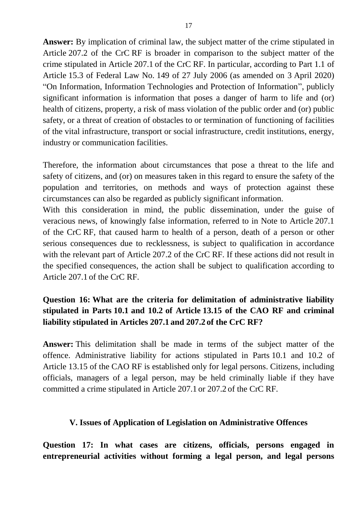**Answer:** By implication of criminal law, the subject matter of the crime stipulated in Article 207.2 of the CrC RF is broader in comparison to the subject matter of the crime stipulated in Article 207.1 of the CrC RF. In particular, according to Part 1.1 of Article 15.3 of Federal Law No. 149 of 27 July 2006 (as amended on 3 April 2020) "On Information, Information Technologies and Protection of Information", publicly significant information is information that poses a danger of harm to life and (or) health of citizens, property, a risk of mass violation of the public order and (or) public safety, or a threat of creation of obstacles to or termination of functioning of facilities of the vital infrastructure, transport or social infrastructure, credit institutions, energy, industry or communication facilities.

Therefore, the information about circumstances that pose a threat to the life and safety of citizens, and (or) on measures taken in this regard to ensure the safety of the population and territories, on methods and ways of protection against these circumstances can also be regarded as publicly significant information.

With this consideration in mind, the public dissemination, under the guise of veracious news, of knowingly false information, referred to in Note to Article 207.1 of the CrC RF, that caused harm to health of a person, death of a person or other serious consequences due to recklessness, is subject to qualification in accordance with the relevant part of Article 207.2 of the CrC RF. If these actions did not result in the specified consequences, the action shall be subject to qualification according to Article 207.1 of the CrC RF.

# **Question 16: What are the criteria for delimitation of administrative liability stipulated in Parts 10.1 and 10.2 of Article 13.15 of the CAO RF and criminal liability stipulated in Articles 207.1 and 207.2 of the CrC RF?**

**Answer:** This delimitation shall be made in terms of the subject matter of the offence. Administrative liability for actions stipulated in Parts 10.1 and 10.2 of Article 13.15 of the CAO RF is established only for legal persons. Citizens, including officials, managers of a legal person, may be held criminally liable if they have committed a crime stipulated in Article 207.1 or 207.2 of the CrC RF.

#### **V. Issues of Application of Legislation on Administrative Offences**

**Question 17: In what cases are citizens, officials, persons engaged in entrepreneurial activities without forming a legal person, and legal persons**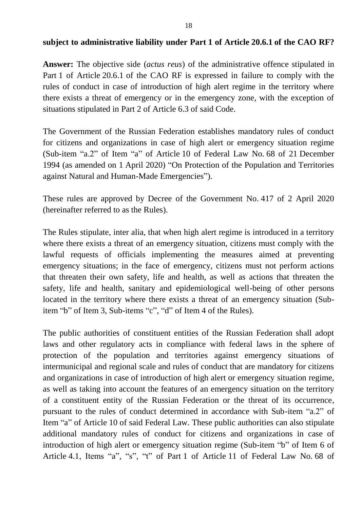#### **subject to administrative liability under Part 1 of Article 20.6.1 of the CAO RF?**

**Answer:** The objective side (*actus reus*) of the administrative offence stipulated in Part 1 of Article 20.6.1 of the CAO RF is expressed in failure to comply with the rules of conduct in case of introduction of high alert regime in the territory where there exists a threat of emergency or in the emergency zone, with the exception of situations stipulated in Part 2 of Article 6.3 of said Code.

The Government of the Russian Federation establishes mandatory rules of conduct for citizens and organizations in case of high alert or emergency situation regime (Sub-item "a.2" of Item "a" of Article 10 of Federal Law No. 68 of 21 December 1994 (as amended on 1 April 2020) "On Protection of the Population and Territories against Natural and Human-Made Emergencies").

These rules are approved by Decree of the Government No. 417 of 2 April 2020 (hereinafter referred to as the Rules).

The Rules stipulate, inter alia, that when high alert regime is introduced in a territory where there exists a threat of an emergency situation, citizens must comply with the lawful requests of officials implementing the measures aimed at preventing emergency situations; in the face of emergency, citizens must not perform actions that threaten their own safety, life and health, as well as actions that threaten the safety, life and health, sanitary and epidemiological well-being of other persons located in the territory where there exists a threat of an emergency situation (Subitem "b" of Item 3, Sub-items "c", "d" of Item 4 of the Rules).

The public authorities of constituent entities of the Russian Federation shall adopt laws and other regulatory acts in compliance with federal laws in the sphere of protection of the population and territories against emergency situations of intermunicipal and regional scale and rules of conduct that are mandatory for citizens and organizations in case of introduction of high alert or emergency situation regime, as well as taking into account the features of an emergency situation on the territory of a constituent entity of the Russian Federation or the threat of its occurrence, pursuant to the rules of conduct determined in accordance with Sub-item "a.2" of Item "a" of Article 10 of said Federal Law. These public authorities can also stipulate additional mandatory rules of conduct for citizens and organizations in case of introduction of high alert or emergency situation regime (Sub-item "b" of Item 6 of Article 4.1, Items "a", "s", "t" of Part 1 of Article 11 of Federal Law No. 68 of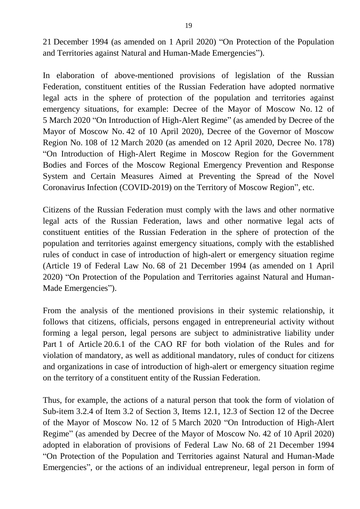21 December 1994 (as amended on 1 April 2020) "On Protection of the Population and Territories against Natural and Human-Made Emergencies").

In elaboration of above-mentioned provisions of legislation of the Russian Federation, constituent entities of the Russian Federation have adopted normative legal acts in the sphere of protection of the population and territories against emergency situations, for example: Decree of the Mayor of Moscow No. 12 of 5 March 2020 "On Introduction of High-Alert Regime" (as amended by Decree of the Mayor of Moscow No. 42 of 10 April 2020), Decree of the Governor of Moscow Region No. 108 of 12 March 2020 (as amended on 12 April 2020, Decree No. 178) "On Introduction of High-Alert Regime in Moscow Region for the Government Bodies and Forces of the Moscow Regional Emergency Prevention and Response System and Certain Measures Aimed at Preventing the Spread of the Novel Coronavirus Infection (COVID-2019) on the Territory of Moscow Region", etc.

Citizens of the Russian Federation must comply with the laws and other normative legal acts of the Russian Federation, laws and other normative legal acts of constituent entities of the Russian Federation in the sphere of protection of the population and territories against emergency situations, comply with the established rules of conduct in case of introduction of high-alert or emergency situation regime (Article 19 of Federal Law No. 68 of 21 December 1994 (as amended on 1 April 2020) "On Protection of the Population and Territories against Natural and Human-Made Emergencies").

From the analysis of the mentioned provisions in their systemic relationship, it follows that citizens, officials, persons engaged in entrepreneurial activity without forming a legal person, legal persons are subject to administrative liability under Part 1 of Article 20.6.1 of the CAO RF for both violation of the Rules and for violation of mandatory, as well as additional mandatory, rules of conduct for citizens and organizations in case of introduction of high-alert or emergency situation regime on the territory of a constituent entity of the Russian Federation.

Thus, for example, the actions of a natural person that took the form of violation of Sub-item 3.2.4 of Item 3.2 of Section 3, Items 12.1, 12.3 of Section 12 of the Decree of the Mayor of Moscow No. 12 of 5 March 2020 "On Introduction of High-Alert Regime" (as amended by Decree of the Mayor of Moscow No. 42 of 10 April 2020) adopted in elaboration of provisions of Federal Law No. 68 of 21 December 1994 "On Protection of the Population and Territories against Natural and Human-Made Emergencies", or the actions of an individual entrepreneur, legal person in form of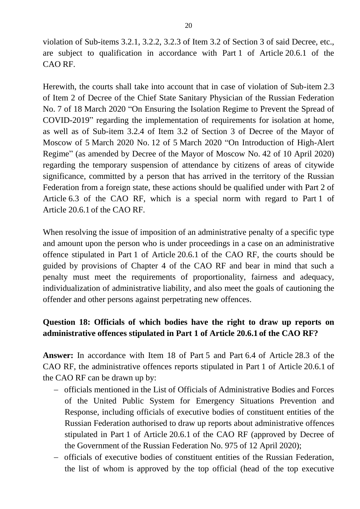violation of Sub-items 3.2.1, 3.2.2, 3.2.3 of Item 3.2 of Section 3 of said Decree, etc., are subject to qualification in accordance with Part 1 of Article 20.6.1 of the CAO RF.

Herewith, the courts shall take into account that in case of violation of Sub-item 2.3 of Item 2 of Decree of the Chief State Sanitary Physician of the Russian Federation No. 7 of 18 March 2020 "On Ensuring the Isolation Regime to Prevent the Spread of COVID-2019" regarding the implementation of requirements for isolation at home, as well as of Sub-item 3.2.4 of Item 3.2 of Section 3 of Decree of the Mayor of Moscow of 5 March 2020 No. 12 of 5 March 2020 "On Introduction of High-Alert Regime" (as amended by Decree of the Mayor of Moscow No. 42 of 10 April 2020) regarding the temporary suspension of attendance by citizens of areas of citywide significance, committed by a person that has arrived in the territory of the Russian Federation from a foreign state, these actions should be qualified under with Part 2 of Article 6.3 of the CAO RF, which is a special norm with regard to Part 1 of Article 20.6.1 of the CAO RF.

When resolving the issue of imposition of an administrative penalty of a specific type and amount upon the person who is under proceedings in a case on an administrative offence stipulated in Part 1 of Article 20.6.1 of the CAO RF, the courts should be guided by provisions of Chapter 4 of the CAO RF and bear in mind that such a penalty must meet the requirements of proportionality, fairness and adequacy, individualization of administrative liability, and also meet the goals of cautioning the offender and other persons against perpetrating new offences.

### **Question 18: Officials of which bodies have the right to draw up reports on administrative offences stipulated in Part 1 of Article 20.6.1 of the CAO RF?**

**Answer:** In accordance with Item 18 of Part 5 and Part 6.4 of Article 28.3 of the CAO RF, the administrative offences reports stipulated in Part 1 of Article 20.6.1 of the CAO RF can be drawn up by:

- officials mentioned in the List of Officials of Administrative Bodies and Forces of the United Public System for Emergency Situations Prevention and Response, including officials of executive bodies of constituent entities of the Russian Federation authorised to draw up reports about administrative offences stipulated in Part 1 of Article 20.6.1 of the CAO RF (approved by Decree of the Government of the Russian Federation No. 975 of 12 April 2020);
- officials of executive bodies of constituent entities of the Russian Federation, the list of whom is approved by the top official (head of the top executive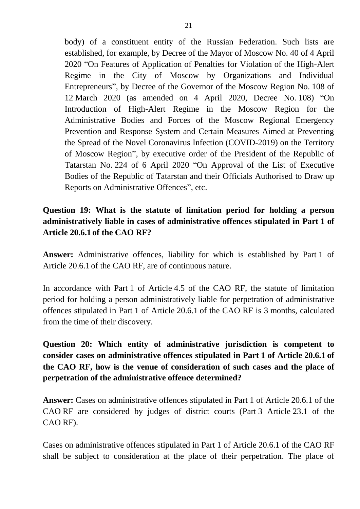body) of a constituent entity of the Russian Federation. Such lists are established, for example, by Decree of the Mayor of Moscow No. 40 of 4 April 2020 "On Features of Application of Penalties for Violation of the High-Alert Regime in the City of Moscow by Organizations and Individual Entrepreneurs", by Decree of the Governor of the Moscow Region No. 108 of 12 March 2020 (as amended on 4 April 2020, Decree No. 108) "On Introduction of High-Alert Regime in the Moscow Region for the Administrative Bodies and Forces of the Moscow Regional Emergency Prevention and Response System and Certain Measures Aimed at Preventing the Spread of the Novel Coronavirus Infection (COVID-2019) on the Territory of Moscow Region", by executive order of the President of the Republic of Tatarstan No. 224 of 6 April 2020 "On Approval of the List of Executive Bodies of the Republic of Tatarstan and their Officials Authorised to Draw up Reports on Administrative Offences", etc.

## **Question 19: What is the statute of limitation period for holding a person administratively liable in cases of administrative offences stipulated in Part 1 of Article 20.6.1 of the CAO RF?**

**Answer:** Administrative offences, liability for which is established by Part 1 of Article 20.6.1 of the CAO RF, are of continuous nature.

In accordance with Part 1 of Article 4.5 of the CAO RF, the statute of limitation period for holding a person administratively liable for perpetration of administrative offences stipulated in Part 1 of Article 20.6.1 of the CAO RF is 3 months, calculated from the time of their discovery.

**Question 20: Which entity of administrative jurisdiction is competent to consider cases on administrative offences stipulated in Part 1 of Article 20.6.1 of the CAO RF, how is the venue of consideration of such cases and the place of perpetration of the administrative offence determined?** 

**Answer:** Cases on administrative offences stipulated in Part 1 of Article 20.6.1 of the CAO RF are considered by judges of district courts (Part 3 Article 23.1 of the CAO RF).

Cases on administrative offences stipulated in Part 1 of Article 20.6.1 of the CAO RF shall be subject to consideration at the place of their perpetration. The place of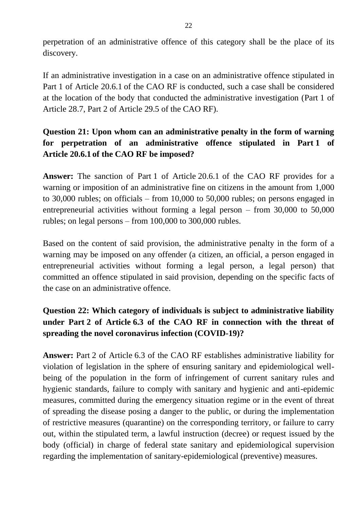perpetration of an administrative offence of this category shall be the place of its discovery.

If an administrative investigation in a case on an administrative offence stipulated in Part 1 of Article 20.6.1 of the CAO RF is conducted, such a case shall be considered at the location of the body that conducted the administrative investigation (Part 1 of Article 28.7, Part 2 of Article 29.5 of the CAO RF).

## **Question 21: Upon whom can an administrative penalty in the form of warning for perpetration of an administrative offence stipulated in Part 1 of Article 20.6.1 of the CAO RF be imposed?**

**Answer:** The sanction of Part 1 of Article 20.6.1 of the CAO RF provides for a warning or imposition of an administrative fine on citizens in the amount from 1,000 to 30,000 rubles; on officials – from 10,000 to 50,000 rubles; on persons engaged in entrepreneurial activities without forming a legal person – from 30,000 to 50,000 rubles; on legal persons – from 100,000 to 300,000 rubles.

Based on the content of said provision, the administrative penalty in the form of a warning may be imposed on any offender (a citizen, an official, a person engaged in entrepreneurial activities without forming a legal person, a legal person) that committed an offence stipulated in said provision, depending on the specific facts of the case on an administrative offence.

## **Question 22: Which category of individuals is subject to administrative liability under Part 2 of Article 6.3 of the CAO RF in connection with the threat of spreading the novel coronavirus infection (COVID-19)?**

**Answer:** Part 2 of Article 6.3 of the CAO RF establishes administrative liability for violation of legislation in the sphere of ensuring sanitary and epidemiological wellbeing of the population in the form of infringement of current sanitary rules and hygienic standards, failure to comply with sanitary and hygienic and anti-epidemic measures, committed during the emergency situation regime or in the event of threat of spreading the disease posing a danger to the public, or during the implementation of restrictive measures (quarantine) on the corresponding territory, or failure to carry out, within the stipulated term, a lawful instruction (decree) or request issued by the body (official) in charge of federal state sanitary and epidemiological supervision regarding the implementation of sanitary-epidemiological (preventive) measures.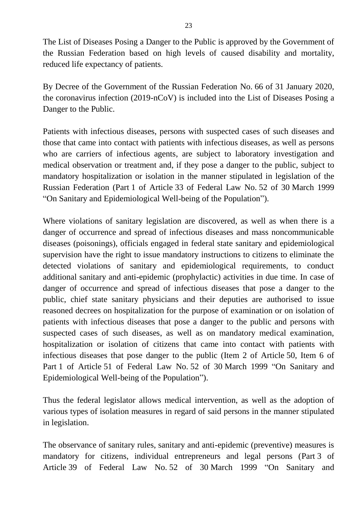The List of Diseases Posing a Danger to the Public is approved by the Government of the Russian Federation based on high levels of caused disability and mortality, reduced life expectancy of patients.

By Decree of the Government of the Russian Federation No. 66 of 31 January 2020, the coronavirus infection (2019-nCoV) is included into the List of Diseases Posing a Danger to the Public.

Patients with infectious diseases, persons with suspected cases of such diseases and those that came into contact with patients with infectious diseases, as well as persons who are carriers of infectious agents, are subject to laboratory investigation and medical observation or treatment and, if they pose a danger to the public, subject to mandatory hospitalization or isolation in the manner stipulated in legislation of the Russian Federation (Part 1 of Article 33 of Federal Law No. 52 of 30 March 1999 "On Sanitary and Epidemiological Well-being of the Population").

Where violations of sanitary legislation are discovered, as well as when there is a danger of occurrence and spread of infectious diseases and mass noncommunicable diseases (poisonings), officials engaged in federal state sanitary and epidemiological supervision have the right to issue mandatory instructions to citizens to eliminate the detected violations of sanitary and epidemiological requirements, to conduct additional sanitary and anti-epidemic (prophylactic) activities in due time. In case of danger of occurrence and spread of infectious diseases that pose a danger to the public, chief state sanitary physicians and their deputies are authorised to issue reasoned decrees on hospitalization for the purpose of examination or on isolation of patients with infectious diseases that pose a danger to the public and persons with suspected cases of such diseases, as well as on mandatory medical examination, hospitalization or isolation of citizens that came into contact with patients with infectious diseases that pose danger to the public (Item 2 of Article 50, Item 6 of Part 1 of Article 51 of Federal Law No. 52 of 30 March 1999 "On Sanitary and Epidemiological Well-being of the Population").

Thus the federal legislator allows medical intervention, as well as the adoption of various types of isolation measures in regard of said persons in the manner stipulated in legislation.

The observance of sanitary rules, sanitary and anti-epidemic (preventive) measures is mandatory for citizens, individual entrepreneurs and legal persons (Part 3 of Article 39 of Federal Law No. 52 of 30 March 1999 "On Sanitary and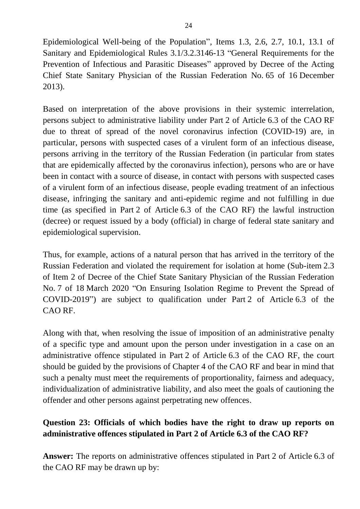Epidemiological Well-being of the Population", Items 1.3, 2.6, 2.7, 10.1, 13.1 of Sanitary and Epidemiological Rules 3.1/3.2.3146-13 "General Requirements for the Prevention of Infectious and Parasitic Diseases" approved by Decree of the Acting Chief State Sanitary Physician of the Russian Federation No. 65 of 16 December 2013).

Based on interpretation of the above provisions in their systemic interrelation, persons subject to administrative liability under Part 2 of Article 6.3 of the CAO RF due to threat of spread of the novel coronavirus infection (COVID-19) are, in particular, persons with suspected cases of a virulent form of an infectious disease, persons arriving in the territory of the Russian Federation (in particular from states that are epidemically affected by the coronavirus infection), persons who are or have been in contact with a source of disease, in contact with persons with suspected cases of a virulent form of an infectious disease, people evading treatment of an infectious disease, infringing the sanitary and anti-epidemic regime and not fulfilling in due time (as specified in Part 2 of Article 6.3 of the CAO RF) the lawful instruction (decree) or request issued by a body (official) in charge of federal state sanitary and epidemiological supervision.

Thus, for example, actions of a natural person that has arrived in the territory of the Russian Federation and violated the requirement for isolation at home (Sub-item 2.3 of Item 2 of Decree of the Chief State Sanitary Physician of the Russian Federation No. 7 of 18 March 2020 "On Ensuring Isolation Regime to Prevent the Spread of COVID-2019") are subject to qualification under Part 2 of Article 6.3 of the CAO RF.

Along with that, when resolving the issue of imposition of an administrative penalty of a specific type and amount upon the person under investigation in a case on an administrative offence stipulated in Part 2 of Article 6.3 of the CAO RF, the court should be guided by the provisions of Chapter 4 of the CAO RF and bear in mind that such a penalty must meet the requirements of proportionality, fairness and adequacy, individualization of administrative liability, and also meet the goals of cautioning the offender and other persons against perpetrating new offences.

#### **Question 23: Officials of which bodies have the right to draw up reports on administrative offences stipulated in Part 2 of Article 6.3 of the CAO RF?**

**Answer:** The reports on administrative offences stipulated in Part 2 of Article 6.3 of the CAO RF may be drawn up by: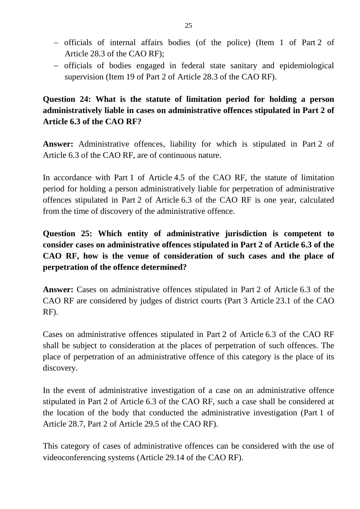- officials of internal affairs bodies (of the police) (Item 1 of Part 2 of Article 28.3 of the CAO RF);
- officials of bodies engaged in federal state sanitary and epidemiological supervision (Item 19 of Part 2 of Article 28.3 of the CAO RF).

## **Question 24: What is the statute of limitation period for holding a person administratively liable in cases on administrative offences stipulated in Part 2 of Article 6.3 of the CAO RF?**

**Answer:** Administrative offences, liability for which is stipulated in Part 2 of Article 6.3 of the CAO RF, are of continuous nature.

In accordance with Part 1 of Article 4.5 of the CAO RF, the statute of limitation period for holding a person administratively liable for perpetration of administrative offences stipulated in Part 2 of Article 6.3 of the CAO RF is one year, calculated from the time of discovery of the administrative offence.

**Question 25: Which entity of administrative jurisdiction is competent to consider cases on administrative offences stipulated in Part 2 of Article 6.3 of the CAO RF, how is the venue of consideration of such cases and the place of perpetration of the offence determined?**

**Answer:** Cases on administrative offences stipulated in Part 2 of Article 6.3 of the CAO RF are considered by judges of district courts (Part 3 Article 23.1 of the CAO RF).

Cases on administrative offences stipulated in Part 2 of Article 6.3 of the CAO RF shall be subject to consideration at the places of perpetration of such offences. The place of perpetration of an administrative offence of this category is the place of its discovery.

In the event of administrative investigation of a case on an administrative offence stipulated in Part 2 of Article 6.3 of the CAO RF, such a case shall be considered at the location of the body that conducted the administrative investigation (Part 1 of Article 28.7, Part 2 of Article 29.5 of the CAO RF).

This category of cases of administrative offences can be considered with the use of videoconferencing systems (Article 29.14 of the CAO RF).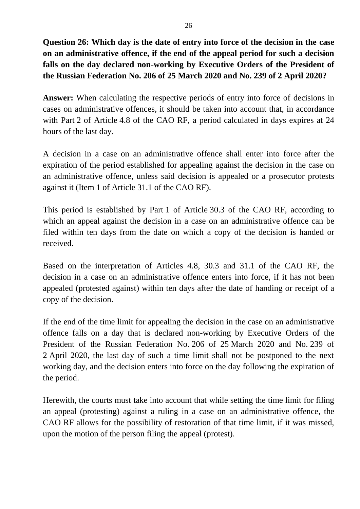## **Question 26: Which day is the date of entry into force of the decision in the case on an administrative offence, if the end of the appeal period for such a decision falls on the day declared non-working by Executive Orders of the President of the Russian Federation No. 206 of 25 March 2020 and No. 239 of 2 April 2020?**

**Answer:** When calculating the respective periods of entry into force of decisions in cases on administrative offences, it should be taken into account that, in accordance with Part 2 of Article 4.8 of the CAO RF, a period calculated in days expires at 24 hours of the last day.

A decision in a case on an administrative offence shall enter into force after the expiration of the period established for appealing against the decision in the case on an administrative offence, unless said decision is appealed or a prosecutor protests against it (Item 1 of Article 31.1 of the CAO RF).

This period is established by Part 1 of Article 30.3 of the CAO RF, according to which an appeal against the decision in a case on an administrative offence can be filed within ten days from the date on which a copy of the decision is handed or received.

Based on the interpretation of Articles 4.8, 30.3 and 31.1 of the CAO RF, the decision in a case on an administrative offence enters into force, if it has not been appealed (protested against) within ten days after the date of handing or receipt of a copy of the decision.

If the end of the time limit for appealing the decision in the case on an administrative offence falls on a day that is declared non-working by Executive Orders of the President of the Russian Federation No. 206 of 25 March 2020 and No. 239 of 2 April 2020, the last day of such a time limit shall not be postponed to the next working day, and the decision enters into force on the day following the expiration of the period.

Herewith, the courts must take into account that while setting the time limit for filing an appeal (protesting) against a ruling in a case on an administrative offence, the CAO RF allows for the possibility of restoration of that time limit, if it was missed, upon the motion of the person filing the appeal (protest).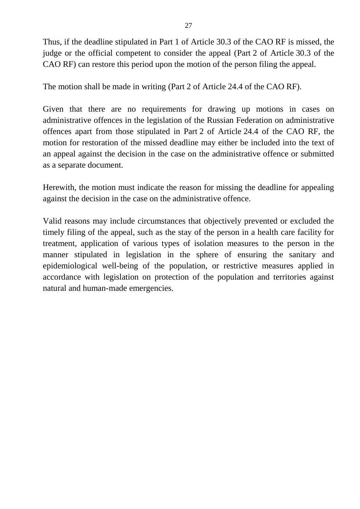Thus, if the deadline stipulated in Part 1 of Article 30.3 of the CAO RF is missed, the judge or the official competent to consider the appeal (Part 2 of Article 30.3 of the CAO RF) can restore this period upon the motion of the person filing the appeal.

The motion shall be made in writing (Part 2 of Article 24.4 of the CAO RF).

Given that there are no requirements for drawing up motions in cases on administrative offences in the legislation of the Russian Federation on administrative offences apart from those stipulated in Part 2 of Article 24.4 of the CAO RF, the motion for restoration of the missed deadline may either be included into the text of an appeal against the decision in the case on the administrative offence or submitted as a separate document.

Herewith, the motion must indicate the reason for missing the deadline for appealing against the decision in the case on the administrative offence.

Valid reasons may include circumstances that objectively prevented or excluded the timely filing of the appeal, such as the stay of the person in a health care facility for treatment, application of various types of isolation measures to the person in the manner stipulated in legislation in the sphere of ensuring the sanitary and epidemiological well-being of the population, or restrictive measures applied in accordance with legislation on protection of the population and territories against natural and human-made emergencies.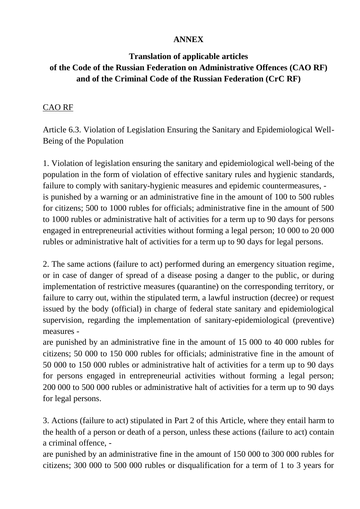#### **ANNEX**

## **Translation of applicable articles of the Code of the Russian Federation on Administrative Offences (CAO RF) and of the Criminal Code of the Russian Federation (CrC RF)**

#### CAO RF

Article 6.3. Violation of Legislation Ensuring the Sanitary and Epidemiological Well-Being of the Population

1. Violation of legislation ensuring the sanitary and epidemiological well-being of the population in the form of violation of effective sanitary rules and hygienic standards, failure to comply with sanitary-hygienic measures and epidemic countermeasures, is punished by a warning or an administrative fine in the amount of 100 to 500 rubles for citizens; 500 to 1000 rubles for officials; administrative fine in the amount of 500 to 1000 rubles or administrative halt of activities for a term up to 90 days for persons engaged in entrepreneurial activities without forming a legal person; 10 000 to 20 000 rubles or administrative halt of activities for a term up to 90 days for legal persons.

2. The same actions (failure to act) performed during an emergency situation regime, or in case of danger of spread of a disease posing a danger to the public, or during implementation of restrictive measures (quarantine) on the corresponding territory, or failure to carry out, within the stipulated term, a lawful instruction (decree) or request issued by the body (official) in charge of federal state sanitary and epidemiological supervision, regarding the implementation of sanitary-epidemiological (preventive) measures -

are punished by an administrative fine in the amount of 15 000 to 40 000 rubles for citizens; 50 000 to 150 000 rubles for officials; administrative fine in the amount of 50 000 to 150 000 rubles or administrative halt of activities for a term up to 90 days for persons engaged in entrepreneurial activities without forming a legal person; 200 000 to 500 000 rubles or administrative halt of activities for a term up to 90 days for legal persons.

3. Actions (failure to act) stipulated in Part 2 of this Article, where they entail harm to the health of a person or death of a person, unless these actions (failure to act) contain a criminal offence, -

are punished by an administrative fine in the amount of 150 000 to 300 000 rubles for citizens; 300 000 to 500 000 rubles or disqualification for a term of 1 to 3 years for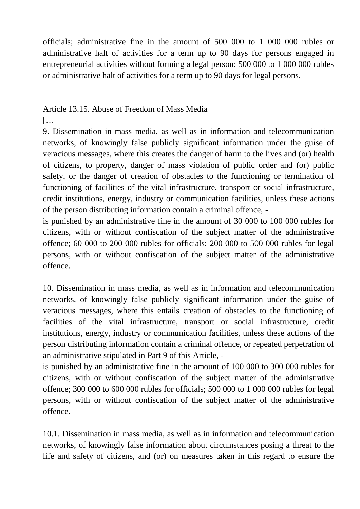officials; administrative fine in the amount of 500 000 to 1 000 000 rubles or administrative halt of activities for a term up to 90 days for persons engaged in entrepreneurial activities without forming a legal person; 500 000 to 1 000 000 rubles or administrative halt of activities for a term up to 90 days for legal persons.

#### Article 13.15. Abuse of Freedom of Mass Media

[…]

9. Dissemination in mass media, as well as in information and telecommunication networks, of knowingly false publicly significant information under the guise of veracious messages, where this creates the danger of harm to the lives and (or) health of citizens, to property, danger of mass violation of public order and (or) public safety, or the danger of creation of obstacles to the functioning or termination of functioning of facilities of the vital infrastructure, transport or social infrastructure, credit institutions, energy, industry or communication facilities, unless these actions of the person distributing information contain a criminal offence, -

is punished by an administrative fine in the amount of 30 000 to 100 000 rubles for citizens, with or without confiscation of the subject matter of the administrative offence; 60 000 to 200 000 rubles for officials; 200 000 to 500 000 rubles for legal persons, with or without confiscation of the subject matter of the administrative offence.

10. Dissemination in mass media, as well as in information and telecommunication networks, of knowingly false publicly significant information under the guise of veracious messages, where this entails creation of obstacles to the functioning of facilities of the vital infrastructure, transport or social infrastructure, credit institutions, energy, industry or communication facilities, unless these actions of the person distributing information contain a criminal offence, or repeated perpetration of an administrative stipulated in Part 9 of this Article, -

is punished by an administrative fine in the amount of 100 000 to 300 000 rubles for citizens, with or without confiscation of the subject matter of the administrative offence; 300 000 to 600 000 rubles for officials; 500 000 to 1 000 000 rubles for legal persons, with or without confiscation of the subject matter of the administrative offence.

10.1. Dissemination in mass media, as well as in information and telecommunication networks, of knowingly false information about circumstances posing a threat to the life and safety of citizens, and (or) on measures taken in this regard to ensure the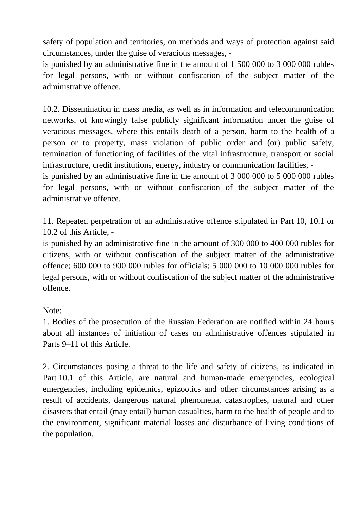safety of population and territories, on methods and ways of protection against said circumstances, under the guise of veracious messages, -

is punished by an administrative fine in the amount of 1 500 000 to 3 000 000 rubles for legal persons, with or without confiscation of the subject matter of the administrative offence.

10.2. Dissemination in mass media, as well as in information and telecommunication networks, of knowingly false publicly significant information under the guise of veracious messages, where this entails death of a person, harm to the health of a person or to property, mass violation of public order and (or) public safety, termination of functioning of facilities of the vital infrastructure, transport or social infrastructure, credit institutions, energy, industry or communication facilities, -

is punished by an administrative fine in the amount of 3 000 000 to 5 000 000 rubles for legal persons, with or without confiscation of the subject matter of the administrative offence.

11. Repeated perpetration of an administrative offence stipulated in Part 10, 10.1 or 10.2 of this Article, -

is punished by an administrative fine in the amount of 300 000 to 400 000 rubles for citizens, with or without confiscation of the subject matter of the administrative offence; 600 000 to 900 000 rubles for officials; 5 000 000 to 10 000 000 rubles for legal persons, with or without confiscation of the subject matter of the administrative offence.

#### Note:

1. Bodies of the prosecution of the Russian Federation are notified within 24 hours about all instances of initiation of cases on administrative offences stipulated in Parts 9–11 of this Article.

2. Circumstances posing a threat to the life and safety of citizens, as indicated in Part 10.1 of this Article, are natural and human-made emergencies, ecological emergencies, including epidemics, epizootics and other circumstances arising as a result of accidents, dangerous natural phenomena, catastrophes, natural and other disasters that entail (may entail) human casualties, harm to the health of people and to the environment, significant material losses and disturbance of living conditions of the population.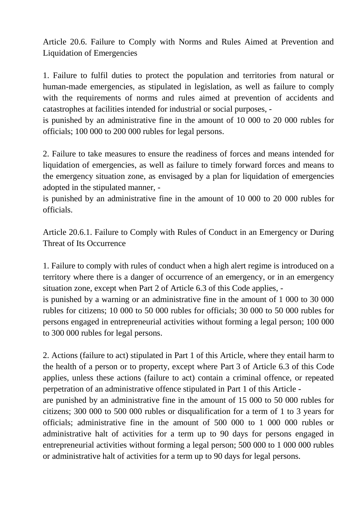Article 20.6. Failure to Comply with Norms and Rules Aimed at Prevention and Liquidation of Emergencies

1. Failure to fulfil duties to protect the population and territories from natural or human-made emergencies, as stipulated in legislation, as well as failure to comply with the requirements of norms and rules aimed at prevention of accidents and catastrophes at facilities intended for industrial or social purposes, -

is punished by an administrative fine in the amount of 10 000 to 20 000 rubles for officials; 100 000 to 200 000 rubles for legal persons.

2. Failure to take measures to ensure the readiness of forces and means intended for liquidation of emergencies, as well as failure to timely forward forces and means to the emergency situation zone, as envisaged by a plan for liquidation of emergencies adopted in the stipulated manner, -

is punished by an administrative fine in the amount of 10 000 to 20 000 rubles for officials.

Article 20.6.1. Failure to Comply with Rules of Conduct in an Emergency or During Threat of Its Occurrence

1. Failure to comply with rules of conduct when a high alert regime is introduced on a territory where there is a danger of occurrence of an emergency, or in an emergency situation zone, except when Part 2 of Article 6.3 of this Code applies, -

is punished by a warning or an administrative fine in the amount of 1 000 to 30 000 rubles for citizens; 10 000 to 50 000 rubles for officials; 30 000 to 50 000 rubles for persons engaged in entrepreneurial activities without forming a legal person; 100 000 to 300 000 rubles for legal persons.

2. Actions (failure to act) stipulated in Part 1 of this Article, where they entail harm to the health of a person or to property, except where Part 3 of Article 6.3 of this Code applies, unless these actions (failure to act) contain a criminal offence, or repeated perpetration of an administrative offence stipulated in Part 1 of this Article -

are punished by an administrative fine in the amount of 15 000 to 50 000 rubles for citizens; 300 000 to 500 000 rubles or disqualification for a term of 1 to 3 years for officials; administrative fine in the amount of 500 000 to 1 000 000 rubles or administrative halt of activities for a term up to 90 days for persons engaged in entrepreneurial activities without forming a legal person; 500 000 to 1 000 000 rubles or administrative halt of activities for a term up to 90 days for legal persons.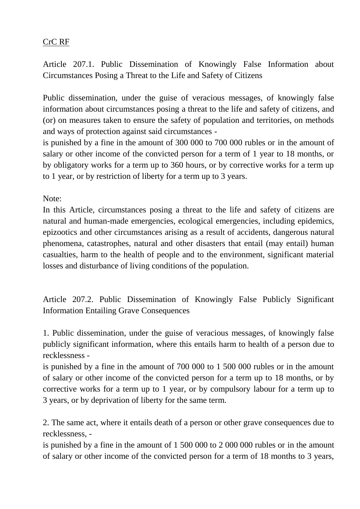#### CrC RF

Article 207.1. Public Dissemination of Knowingly False Information about Circumstances Posing a Threat to the Life and Safety of Citizens

Public dissemination, under the guise of veracious messages, of knowingly false information about circumstances posing a threat to the life and safety of citizens, and (or) on measures taken to ensure the safety of population and territories, on methods and ways of protection against said circumstances -

is punished by a fine in the amount of 300 000 to 700 000 rubles or in the amount of salary or other income of the convicted person for a term of 1 year to 18 months, or by obligatory works for a term up to 360 hours, or by corrective works for a term up to 1 year, or by restriction of liberty for a term up to 3 years.

Note:

In this Article, circumstances posing a threat to the life and safety of citizens are natural and human-made emergencies, ecological emergencies, including epidemics, epizootics and other circumstances arising as a result of accidents, dangerous natural phenomena, catastrophes, natural and other disasters that entail (may entail) human casualties, harm to the health of people and to the environment, significant material losses and disturbance of living conditions of the population.

Article 207.2. Public Dissemination of Knowingly False Publicly Significant Information Entailing Grave Consequences

1. Public dissemination, under the guise of veracious messages, of knowingly false publicly significant information, where this entails harm to health of a person due to recklessness -

is punished by a fine in the amount of 700 000 to 1 500 000 rubles or in the amount of salary or other income of the convicted person for a term up to 18 months, or by corrective works for a term up to 1 year, or by compulsory labour for a term up to 3 years, or by deprivation of liberty for the same term.

2. The same act, where it entails death of a person or other grave consequences due to recklessness, -

is punished by a fine in the amount of 1 500 000 to 2 000 000 rubles or in the amount of salary or other income of the convicted person for a term of 18 months to 3 years,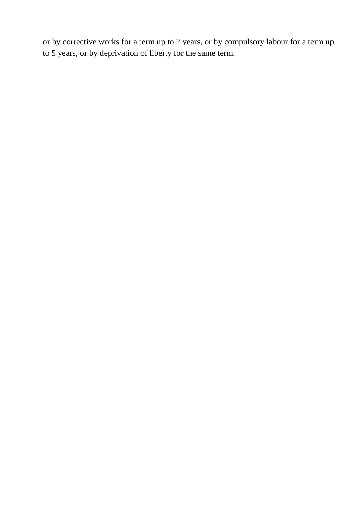or by corrective works for a term up to 2 years, or by compulsory labour for a term up to 5 years, or by deprivation of liberty for the same term.